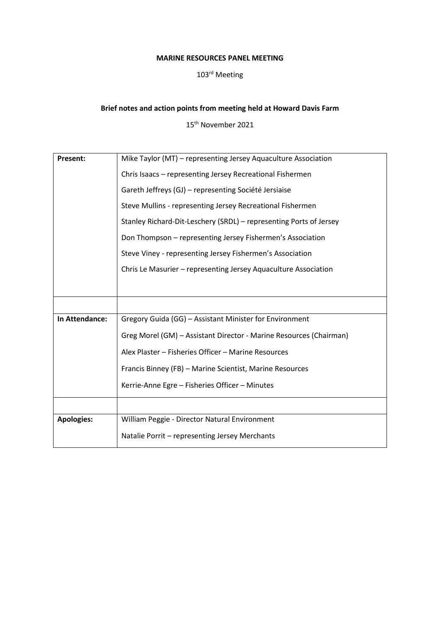## **MARINE RESOURCES PANEL MEETING**

## 103rd Meeting

## **Brief notes and action points from meeting held at Howard Davis Farm**

15th November 2021

| <b>Present:</b>   | Mike Taylor (MT) – representing Jersey Aquaculture Association     |
|-------------------|--------------------------------------------------------------------|
|                   | Chris Isaacs - representing Jersey Recreational Fishermen          |
|                   | Gareth Jeffreys (GJ) - representing Société Jersiaise              |
|                   | Steve Mullins - representing Jersey Recreational Fishermen         |
|                   | Stanley Richard-Dit-Leschery (SRDL) – representing Ports of Jersey |
|                   | Don Thompson - representing Jersey Fishermen's Association         |
|                   | Steve Viney - representing Jersey Fishermen's Association          |
|                   | Chris Le Masurier - representing Jersey Aquaculture Association    |
|                   |                                                                    |
|                   |                                                                    |
|                   |                                                                    |
| In Attendance:    | Gregory Guida (GG) - Assistant Minister for Environment            |
|                   | Greg Morel (GM) - Assistant Director - Marine Resources (Chairman) |
|                   | Alex Plaster - Fisheries Officer - Marine Resources                |
|                   | Francis Binney (FB) - Marine Scientist, Marine Resources           |
|                   | Kerrie-Anne Egre - Fisheries Officer - Minutes                     |
|                   |                                                                    |
| <b>Apologies:</b> | William Peggie - Director Natural Environment                      |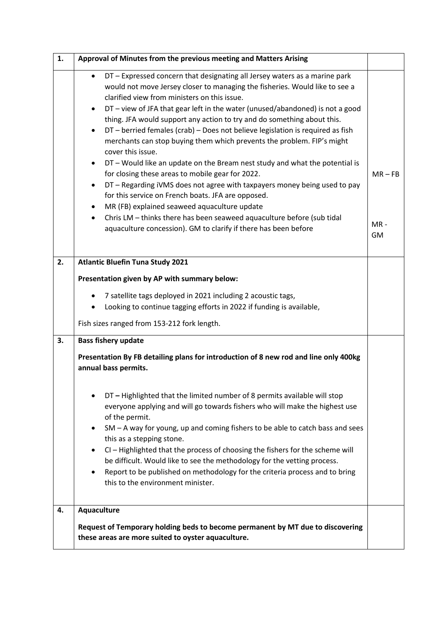| 1. | Approval of Minutes from the previous meeting and Matters Arising                                                                                                                                                                                                                                                                                                                                                                                                                                                                                                                                                                                                                                                                                                                                                                                                                                                                                                                                                                                                |                                  |
|----|------------------------------------------------------------------------------------------------------------------------------------------------------------------------------------------------------------------------------------------------------------------------------------------------------------------------------------------------------------------------------------------------------------------------------------------------------------------------------------------------------------------------------------------------------------------------------------------------------------------------------------------------------------------------------------------------------------------------------------------------------------------------------------------------------------------------------------------------------------------------------------------------------------------------------------------------------------------------------------------------------------------------------------------------------------------|----------------------------------|
|    | DT - Expressed concern that designating all Jersey waters as a marine park<br>$\bullet$<br>would not move Jersey closer to managing the fisheries. Would like to see a<br>clarified view from ministers on this issue.<br>DT - view of JFA that gear left in the water (unused/abandoned) is not a good<br>$\bullet$<br>thing. JFA would support any action to try and do something about this.<br>DT - berried females (crab) - Does not believe legislation is required as fish<br>merchants can stop buying them which prevents the problem. FIP's might<br>cover this issue.<br>DT - Would like an update on the Bream nest study and what the potential is<br>$\bullet$<br>for closing these areas to mobile gear for 2022.<br>DT - Regarding iVMS does not agree with taxpayers money being used to pay<br>for this service on French boats. JFA are opposed.<br>MR (FB) explained seaweed aquaculture update<br>Chris LM - thinks there has been seaweed aquaculture before (sub tidal<br>aquaculture concession). GM to clarify if there has been before | $MR - FB$<br>$MR -$<br><b>GM</b> |
| 2. | <b>Atlantic Bluefin Tuna Study 2021</b>                                                                                                                                                                                                                                                                                                                                                                                                                                                                                                                                                                                                                                                                                                                                                                                                                                                                                                                                                                                                                          |                                  |
|    | Presentation given by AP with summary below:                                                                                                                                                                                                                                                                                                                                                                                                                                                                                                                                                                                                                                                                                                                                                                                                                                                                                                                                                                                                                     |                                  |
|    | 7 satellite tags deployed in 2021 including 2 acoustic tags,<br>Looking to continue tagging efforts in 2022 if funding is available,                                                                                                                                                                                                                                                                                                                                                                                                                                                                                                                                                                                                                                                                                                                                                                                                                                                                                                                             |                                  |
|    | Fish sizes ranged from 153-212 fork length.                                                                                                                                                                                                                                                                                                                                                                                                                                                                                                                                                                                                                                                                                                                                                                                                                                                                                                                                                                                                                      |                                  |
| 3. | <b>Bass fishery update</b>                                                                                                                                                                                                                                                                                                                                                                                                                                                                                                                                                                                                                                                                                                                                                                                                                                                                                                                                                                                                                                       |                                  |
|    | Presentation By FB detailing plans for introduction of 8 new rod and line only 400kg<br>annual bass permits.                                                                                                                                                                                                                                                                                                                                                                                                                                                                                                                                                                                                                                                                                                                                                                                                                                                                                                                                                     |                                  |
|    | DT - Highlighted that the limited number of 8 permits available will stop<br>$\bullet$<br>everyone applying and will go towards fishers who will make the highest use<br>of the permit.<br>SM – A way for young, up and coming fishers to be able to catch bass and sees<br>this as a stepping stone.<br>CI - Highlighted that the process of choosing the fishers for the scheme will<br>be difficult. Would like to see the methodology for the vetting process.<br>Report to be published on methodology for the criteria process and to bring<br>this to the environment minister.                                                                                                                                                                                                                                                                                                                                                                                                                                                                           |                                  |
| 4. | Aquaculture<br>Request of Temporary holding beds to become permanent by MT due to discovering                                                                                                                                                                                                                                                                                                                                                                                                                                                                                                                                                                                                                                                                                                                                                                                                                                                                                                                                                                    |                                  |
|    | these areas are more suited to oyster aquaculture.                                                                                                                                                                                                                                                                                                                                                                                                                                                                                                                                                                                                                                                                                                                                                                                                                                                                                                                                                                                                               |                                  |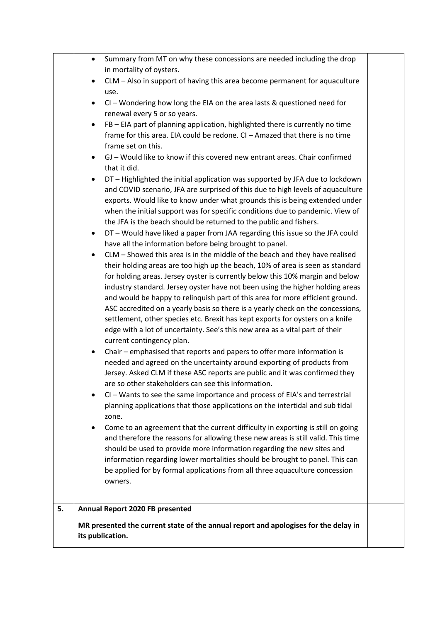|    | $\bullet$ | Summary from MT on why these concessions are needed including the drop                            |  |
|----|-----------|---------------------------------------------------------------------------------------------------|--|
|    |           | in mortality of oysters.                                                                          |  |
|    | ٠         | CLM - Also in support of having this area become permanent for aquaculture<br>use.                |  |
|    | $\bullet$ | CI - Wondering how long the EIA on the area lasts & questioned need for                           |  |
|    |           | renewal every 5 or so years.                                                                      |  |
|    | $\bullet$ | FB - EIA part of planning application, highlighted there is currently no time                     |  |
|    |           | frame for this area. EIA could be redone. CI - Amazed that there is no time<br>frame set on this. |  |
|    | $\bullet$ | GJ - Would like to know if this covered new entrant areas. Chair confirmed                        |  |
|    |           | that it did.                                                                                      |  |
|    | $\bullet$ | DT - Highlighted the initial application was supported by JFA due to lockdown                     |  |
|    |           | and COVID scenario, JFA are surprised of this due to high levels of aquaculture                   |  |
|    |           | exports. Would like to know under what grounds this is being extended under                       |  |
|    |           | when the initial support was for specific conditions due to pandemic. View of                     |  |
|    |           | the JFA is the beach should be returned to the public and fishers.                                |  |
|    | $\bullet$ | DT - Would have liked a paper from JAA regarding this issue so the JFA could                      |  |
|    |           | have all the information before being brought to panel.                                           |  |
|    |           | CLM - Showed this area is in the middle of the beach and they have realised                       |  |
|    |           | their holding areas are too high up the beach, 10% of area is seen as standard                    |  |
|    |           | for holding areas. Jersey oyster is currently below this 10% margin and below                     |  |
|    |           | industry standard. Jersey oyster have not been using the higher holding areas                     |  |
|    |           | and would be happy to relinquish part of this area for more efficient ground.                     |  |
|    |           | ASC accredited on a yearly basis so there is a yearly check on the concessions,                   |  |
|    |           | settlement, other species etc. Brexit has kept exports for oysters on a knife                     |  |
|    |           | edge with a lot of uncertainty. See's this new area as a vital part of their                      |  |
|    |           | current contingency plan.                                                                         |  |
|    | $\bullet$ | Chair - emphasised that reports and papers to offer more information is                           |  |
|    |           | needed and agreed on the uncertainty around exporting of products from                            |  |
|    |           | Jersey. Asked CLM if these ASC reports are public and it was confirmed they                       |  |
|    |           | are so other stakeholders can see this information.                                               |  |
|    | $\bullet$ | CI - Wants to see the same importance and process of EIA's and terrestrial                        |  |
|    |           | planning applications that those applications on the intertidal and sub tidal                     |  |
|    |           | zone.                                                                                             |  |
|    |           | Come to an agreement that the current difficulty in exporting is still on going                   |  |
|    |           | and therefore the reasons for allowing these new areas is still valid. This time                  |  |
|    |           | should be used to provide more information regarding the new sites and                            |  |
|    |           | information regarding lower mortalities should be brought to panel. This can                      |  |
|    |           | be applied for by formal applications from all three aquaculture concession                       |  |
|    |           | owners.                                                                                           |  |
|    |           |                                                                                                   |  |
| 5. |           | Annual Report 2020 FB presented                                                                   |  |
|    |           | MR presented the current state of the annual report and apologises for the delay in               |  |
|    |           | its publication.                                                                                  |  |
|    |           |                                                                                                   |  |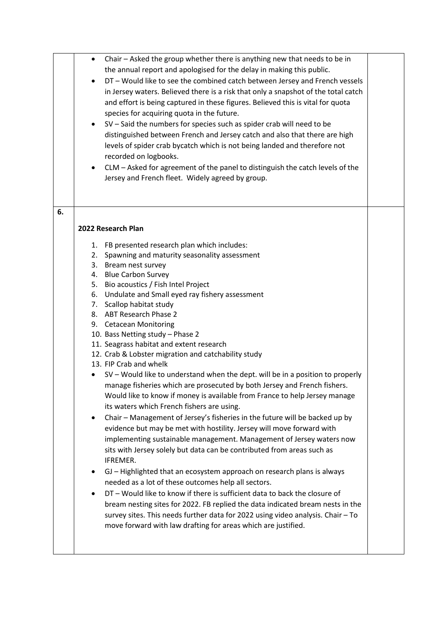| the annual report and apologised for the delay in making this public.<br>DT - Would like to see the combined catch between Jersey and French vessels<br>in Jersey waters. Believed there is a risk that only a snapshot of the total catch<br>and effort is being captured in these figures. Believed this is vital for quota<br>species for acquiring quota in the future.<br>SV - Said the numbers for species such as spider crab will need to be<br>distinguished between French and Jersey catch and also that there are high<br>levels of spider crab bycatch which is not being landed and therefore not<br>recorded on logbooks.<br>CLM - Asked for agreement of the panel to distinguish the catch levels of the<br>Jersey and French fleet. Widely agreed by group.<br>6.<br>2022 Research Plan<br>1. FB presented research plan which includes:<br>2. Spawning and maturity seasonality assessment<br>3. Bream nest survey<br>4. Blue Carbon Survey<br>5. Bio acoustics / Fish Intel Project<br>6. Undulate and Small eyed ray fishery assessment<br>7. Scallop habitat study<br>8. ABT Research Phase 2<br>9. Cetacean Monitoring<br>10. Bass Netting study - Phase 2<br>11. Seagrass habitat and extent research<br>12. Crab & Lobster migration and catchability study<br>13. FIP Crab and whelk<br>SV - Would like to understand when the dept. will be in a position to properly<br>manage fisheries which are prosecuted by both Jersey and French fishers.<br>Would like to know if money is available from France to help Jersey manage<br>its waters which French fishers are using.<br>Chair - Management of Jersey's fisheries in the future will be backed up by<br>٠<br>evidence but may be met with hostility. Jersey will move forward with<br>implementing sustainable management. Management of Jersey waters now<br>sits with Jersey solely but data can be contributed from areas such as<br>IFREMER.<br>GJ - Highlighted that an ecosystem approach on research plans is always<br>٠<br>needed as a lot of these outcomes help all sectors.<br>DT - Would like to know if there is sufficient data to back the closure of<br>$\bullet$<br>bream nesting sites for 2022. FB replied the data indicated bream nests in the<br>survey sites. This needs further data for 2022 using video analysis. Chair - To<br>move forward with law drafting for areas which are justified. | $\bullet$ | Chair - Asked the group whether there is anything new that needs to be in |  |
|-------------------------------------------------------------------------------------------------------------------------------------------------------------------------------------------------------------------------------------------------------------------------------------------------------------------------------------------------------------------------------------------------------------------------------------------------------------------------------------------------------------------------------------------------------------------------------------------------------------------------------------------------------------------------------------------------------------------------------------------------------------------------------------------------------------------------------------------------------------------------------------------------------------------------------------------------------------------------------------------------------------------------------------------------------------------------------------------------------------------------------------------------------------------------------------------------------------------------------------------------------------------------------------------------------------------------------------------------------------------------------------------------------------------------------------------------------------------------------------------------------------------------------------------------------------------------------------------------------------------------------------------------------------------------------------------------------------------------------------------------------------------------------------------------------------------------------------------------------------------------------------------------------------------------------------------------------------------------------------------------------------------------------------------------------------------------------------------------------------------------------------------------------------------------------------------------------------------------------------------------------------------------------------------------------------------------------------------------------------------------------------------------------------|-----------|---------------------------------------------------------------------------|--|
|                                                                                                                                                                                                                                                                                                                                                                                                                                                                                                                                                                                                                                                                                                                                                                                                                                                                                                                                                                                                                                                                                                                                                                                                                                                                                                                                                                                                                                                                                                                                                                                                                                                                                                                                                                                                                                                                                                                                                                                                                                                                                                                                                                                                                                                                                                                                                                                                             |           |                                                                           |  |
|                                                                                                                                                                                                                                                                                                                                                                                                                                                                                                                                                                                                                                                                                                                                                                                                                                                                                                                                                                                                                                                                                                                                                                                                                                                                                                                                                                                                                                                                                                                                                                                                                                                                                                                                                                                                                                                                                                                                                                                                                                                                                                                                                                                                                                                                                                                                                                                                             |           |                                                                           |  |
|                                                                                                                                                                                                                                                                                                                                                                                                                                                                                                                                                                                                                                                                                                                                                                                                                                                                                                                                                                                                                                                                                                                                                                                                                                                                                                                                                                                                                                                                                                                                                                                                                                                                                                                                                                                                                                                                                                                                                                                                                                                                                                                                                                                                                                                                                                                                                                                                             |           |                                                                           |  |
|                                                                                                                                                                                                                                                                                                                                                                                                                                                                                                                                                                                                                                                                                                                                                                                                                                                                                                                                                                                                                                                                                                                                                                                                                                                                                                                                                                                                                                                                                                                                                                                                                                                                                                                                                                                                                                                                                                                                                                                                                                                                                                                                                                                                                                                                                                                                                                                                             |           |                                                                           |  |
|                                                                                                                                                                                                                                                                                                                                                                                                                                                                                                                                                                                                                                                                                                                                                                                                                                                                                                                                                                                                                                                                                                                                                                                                                                                                                                                                                                                                                                                                                                                                                                                                                                                                                                                                                                                                                                                                                                                                                                                                                                                                                                                                                                                                                                                                                                                                                                                                             |           |                                                                           |  |
|                                                                                                                                                                                                                                                                                                                                                                                                                                                                                                                                                                                                                                                                                                                                                                                                                                                                                                                                                                                                                                                                                                                                                                                                                                                                                                                                                                                                                                                                                                                                                                                                                                                                                                                                                                                                                                                                                                                                                                                                                                                                                                                                                                                                                                                                                                                                                                                                             |           |                                                                           |  |
|                                                                                                                                                                                                                                                                                                                                                                                                                                                                                                                                                                                                                                                                                                                                                                                                                                                                                                                                                                                                                                                                                                                                                                                                                                                                                                                                                                                                                                                                                                                                                                                                                                                                                                                                                                                                                                                                                                                                                                                                                                                                                                                                                                                                                                                                                                                                                                                                             |           |                                                                           |  |
|                                                                                                                                                                                                                                                                                                                                                                                                                                                                                                                                                                                                                                                                                                                                                                                                                                                                                                                                                                                                                                                                                                                                                                                                                                                                                                                                                                                                                                                                                                                                                                                                                                                                                                                                                                                                                                                                                                                                                                                                                                                                                                                                                                                                                                                                                                                                                                                                             |           |                                                                           |  |
|                                                                                                                                                                                                                                                                                                                                                                                                                                                                                                                                                                                                                                                                                                                                                                                                                                                                                                                                                                                                                                                                                                                                                                                                                                                                                                                                                                                                                                                                                                                                                                                                                                                                                                                                                                                                                                                                                                                                                                                                                                                                                                                                                                                                                                                                                                                                                                                                             |           |                                                                           |  |
|                                                                                                                                                                                                                                                                                                                                                                                                                                                                                                                                                                                                                                                                                                                                                                                                                                                                                                                                                                                                                                                                                                                                                                                                                                                                                                                                                                                                                                                                                                                                                                                                                                                                                                                                                                                                                                                                                                                                                                                                                                                                                                                                                                                                                                                                                                                                                                                                             |           |                                                                           |  |
|                                                                                                                                                                                                                                                                                                                                                                                                                                                                                                                                                                                                                                                                                                                                                                                                                                                                                                                                                                                                                                                                                                                                                                                                                                                                                                                                                                                                                                                                                                                                                                                                                                                                                                                                                                                                                                                                                                                                                                                                                                                                                                                                                                                                                                                                                                                                                                                                             |           |                                                                           |  |
|                                                                                                                                                                                                                                                                                                                                                                                                                                                                                                                                                                                                                                                                                                                                                                                                                                                                                                                                                                                                                                                                                                                                                                                                                                                                                                                                                                                                                                                                                                                                                                                                                                                                                                                                                                                                                                                                                                                                                                                                                                                                                                                                                                                                                                                                                                                                                                                                             |           |                                                                           |  |
|                                                                                                                                                                                                                                                                                                                                                                                                                                                                                                                                                                                                                                                                                                                                                                                                                                                                                                                                                                                                                                                                                                                                                                                                                                                                                                                                                                                                                                                                                                                                                                                                                                                                                                                                                                                                                                                                                                                                                                                                                                                                                                                                                                                                                                                                                                                                                                                                             |           |                                                                           |  |
|                                                                                                                                                                                                                                                                                                                                                                                                                                                                                                                                                                                                                                                                                                                                                                                                                                                                                                                                                                                                                                                                                                                                                                                                                                                                                                                                                                                                                                                                                                                                                                                                                                                                                                                                                                                                                                                                                                                                                                                                                                                                                                                                                                                                                                                                                                                                                                                                             |           |                                                                           |  |
|                                                                                                                                                                                                                                                                                                                                                                                                                                                                                                                                                                                                                                                                                                                                                                                                                                                                                                                                                                                                                                                                                                                                                                                                                                                                                                                                                                                                                                                                                                                                                                                                                                                                                                                                                                                                                                                                                                                                                                                                                                                                                                                                                                                                                                                                                                                                                                                                             |           |                                                                           |  |
|                                                                                                                                                                                                                                                                                                                                                                                                                                                                                                                                                                                                                                                                                                                                                                                                                                                                                                                                                                                                                                                                                                                                                                                                                                                                                                                                                                                                                                                                                                                                                                                                                                                                                                                                                                                                                                                                                                                                                                                                                                                                                                                                                                                                                                                                                                                                                                                                             |           |                                                                           |  |
|                                                                                                                                                                                                                                                                                                                                                                                                                                                                                                                                                                                                                                                                                                                                                                                                                                                                                                                                                                                                                                                                                                                                                                                                                                                                                                                                                                                                                                                                                                                                                                                                                                                                                                                                                                                                                                                                                                                                                                                                                                                                                                                                                                                                                                                                                                                                                                                                             |           |                                                                           |  |
|                                                                                                                                                                                                                                                                                                                                                                                                                                                                                                                                                                                                                                                                                                                                                                                                                                                                                                                                                                                                                                                                                                                                                                                                                                                                                                                                                                                                                                                                                                                                                                                                                                                                                                                                                                                                                                                                                                                                                                                                                                                                                                                                                                                                                                                                                                                                                                                                             |           |                                                                           |  |
|                                                                                                                                                                                                                                                                                                                                                                                                                                                                                                                                                                                                                                                                                                                                                                                                                                                                                                                                                                                                                                                                                                                                                                                                                                                                                                                                                                                                                                                                                                                                                                                                                                                                                                                                                                                                                                                                                                                                                                                                                                                                                                                                                                                                                                                                                                                                                                                                             |           |                                                                           |  |
|                                                                                                                                                                                                                                                                                                                                                                                                                                                                                                                                                                                                                                                                                                                                                                                                                                                                                                                                                                                                                                                                                                                                                                                                                                                                                                                                                                                                                                                                                                                                                                                                                                                                                                                                                                                                                                                                                                                                                                                                                                                                                                                                                                                                                                                                                                                                                                                                             |           |                                                                           |  |
|                                                                                                                                                                                                                                                                                                                                                                                                                                                                                                                                                                                                                                                                                                                                                                                                                                                                                                                                                                                                                                                                                                                                                                                                                                                                                                                                                                                                                                                                                                                                                                                                                                                                                                                                                                                                                                                                                                                                                                                                                                                                                                                                                                                                                                                                                                                                                                                                             |           |                                                                           |  |
|                                                                                                                                                                                                                                                                                                                                                                                                                                                                                                                                                                                                                                                                                                                                                                                                                                                                                                                                                                                                                                                                                                                                                                                                                                                                                                                                                                                                                                                                                                                                                                                                                                                                                                                                                                                                                                                                                                                                                                                                                                                                                                                                                                                                                                                                                                                                                                                                             |           |                                                                           |  |
|                                                                                                                                                                                                                                                                                                                                                                                                                                                                                                                                                                                                                                                                                                                                                                                                                                                                                                                                                                                                                                                                                                                                                                                                                                                                                                                                                                                                                                                                                                                                                                                                                                                                                                                                                                                                                                                                                                                                                                                                                                                                                                                                                                                                                                                                                                                                                                                                             |           |                                                                           |  |
|                                                                                                                                                                                                                                                                                                                                                                                                                                                                                                                                                                                                                                                                                                                                                                                                                                                                                                                                                                                                                                                                                                                                                                                                                                                                                                                                                                                                                                                                                                                                                                                                                                                                                                                                                                                                                                                                                                                                                                                                                                                                                                                                                                                                                                                                                                                                                                                                             |           |                                                                           |  |
|                                                                                                                                                                                                                                                                                                                                                                                                                                                                                                                                                                                                                                                                                                                                                                                                                                                                                                                                                                                                                                                                                                                                                                                                                                                                                                                                                                                                                                                                                                                                                                                                                                                                                                                                                                                                                                                                                                                                                                                                                                                                                                                                                                                                                                                                                                                                                                                                             |           |                                                                           |  |
|                                                                                                                                                                                                                                                                                                                                                                                                                                                                                                                                                                                                                                                                                                                                                                                                                                                                                                                                                                                                                                                                                                                                                                                                                                                                                                                                                                                                                                                                                                                                                                                                                                                                                                                                                                                                                                                                                                                                                                                                                                                                                                                                                                                                                                                                                                                                                                                                             |           |                                                                           |  |
|                                                                                                                                                                                                                                                                                                                                                                                                                                                                                                                                                                                                                                                                                                                                                                                                                                                                                                                                                                                                                                                                                                                                                                                                                                                                                                                                                                                                                                                                                                                                                                                                                                                                                                                                                                                                                                                                                                                                                                                                                                                                                                                                                                                                                                                                                                                                                                                                             |           |                                                                           |  |
|                                                                                                                                                                                                                                                                                                                                                                                                                                                                                                                                                                                                                                                                                                                                                                                                                                                                                                                                                                                                                                                                                                                                                                                                                                                                                                                                                                                                                                                                                                                                                                                                                                                                                                                                                                                                                                                                                                                                                                                                                                                                                                                                                                                                                                                                                                                                                                                                             |           |                                                                           |  |
|                                                                                                                                                                                                                                                                                                                                                                                                                                                                                                                                                                                                                                                                                                                                                                                                                                                                                                                                                                                                                                                                                                                                                                                                                                                                                                                                                                                                                                                                                                                                                                                                                                                                                                                                                                                                                                                                                                                                                                                                                                                                                                                                                                                                                                                                                                                                                                                                             |           |                                                                           |  |
|                                                                                                                                                                                                                                                                                                                                                                                                                                                                                                                                                                                                                                                                                                                                                                                                                                                                                                                                                                                                                                                                                                                                                                                                                                                                                                                                                                                                                                                                                                                                                                                                                                                                                                                                                                                                                                                                                                                                                                                                                                                                                                                                                                                                                                                                                                                                                                                                             |           |                                                                           |  |
|                                                                                                                                                                                                                                                                                                                                                                                                                                                                                                                                                                                                                                                                                                                                                                                                                                                                                                                                                                                                                                                                                                                                                                                                                                                                                                                                                                                                                                                                                                                                                                                                                                                                                                                                                                                                                                                                                                                                                                                                                                                                                                                                                                                                                                                                                                                                                                                                             |           |                                                                           |  |
|                                                                                                                                                                                                                                                                                                                                                                                                                                                                                                                                                                                                                                                                                                                                                                                                                                                                                                                                                                                                                                                                                                                                                                                                                                                                                                                                                                                                                                                                                                                                                                                                                                                                                                                                                                                                                                                                                                                                                                                                                                                                                                                                                                                                                                                                                                                                                                                                             |           |                                                                           |  |
|                                                                                                                                                                                                                                                                                                                                                                                                                                                                                                                                                                                                                                                                                                                                                                                                                                                                                                                                                                                                                                                                                                                                                                                                                                                                                                                                                                                                                                                                                                                                                                                                                                                                                                                                                                                                                                                                                                                                                                                                                                                                                                                                                                                                                                                                                                                                                                                                             |           |                                                                           |  |
|                                                                                                                                                                                                                                                                                                                                                                                                                                                                                                                                                                                                                                                                                                                                                                                                                                                                                                                                                                                                                                                                                                                                                                                                                                                                                                                                                                                                                                                                                                                                                                                                                                                                                                                                                                                                                                                                                                                                                                                                                                                                                                                                                                                                                                                                                                                                                                                                             |           |                                                                           |  |
|                                                                                                                                                                                                                                                                                                                                                                                                                                                                                                                                                                                                                                                                                                                                                                                                                                                                                                                                                                                                                                                                                                                                                                                                                                                                                                                                                                                                                                                                                                                                                                                                                                                                                                                                                                                                                                                                                                                                                                                                                                                                                                                                                                                                                                                                                                                                                                                                             |           |                                                                           |  |
|                                                                                                                                                                                                                                                                                                                                                                                                                                                                                                                                                                                                                                                                                                                                                                                                                                                                                                                                                                                                                                                                                                                                                                                                                                                                                                                                                                                                                                                                                                                                                                                                                                                                                                                                                                                                                                                                                                                                                                                                                                                                                                                                                                                                                                                                                                                                                                                                             |           |                                                                           |  |
|                                                                                                                                                                                                                                                                                                                                                                                                                                                                                                                                                                                                                                                                                                                                                                                                                                                                                                                                                                                                                                                                                                                                                                                                                                                                                                                                                                                                                                                                                                                                                                                                                                                                                                                                                                                                                                                                                                                                                                                                                                                                                                                                                                                                                                                                                                                                                                                                             |           |                                                                           |  |
|                                                                                                                                                                                                                                                                                                                                                                                                                                                                                                                                                                                                                                                                                                                                                                                                                                                                                                                                                                                                                                                                                                                                                                                                                                                                                                                                                                                                                                                                                                                                                                                                                                                                                                                                                                                                                                                                                                                                                                                                                                                                                                                                                                                                                                                                                                                                                                                                             |           |                                                                           |  |
|                                                                                                                                                                                                                                                                                                                                                                                                                                                                                                                                                                                                                                                                                                                                                                                                                                                                                                                                                                                                                                                                                                                                                                                                                                                                                                                                                                                                                                                                                                                                                                                                                                                                                                                                                                                                                                                                                                                                                                                                                                                                                                                                                                                                                                                                                                                                                                                                             |           |                                                                           |  |
|                                                                                                                                                                                                                                                                                                                                                                                                                                                                                                                                                                                                                                                                                                                                                                                                                                                                                                                                                                                                                                                                                                                                                                                                                                                                                                                                                                                                                                                                                                                                                                                                                                                                                                                                                                                                                                                                                                                                                                                                                                                                                                                                                                                                                                                                                                                                                                                                             |           |                                                                           |  |
|                                                                                                                                                                                                                                                                                                                                                                                                                                                                                                                                                                                                                                                                                                                                                                                                                                                                                                                                                                                                                                                                                                                                                                                                                                                                                                                                                                                                                                                                                                                                                                                                                                                                                                                                                                                                                                                                                                                                                                                                                                                                                                                                                                                                                                                                                                                                                                                                             |           |                                                                           |  |
|                                                                                                                                                                                                                                                                                                                                                                                                                                                                                                                                                                                                                                                                                                                                                                                                                                                                                                                                                                                                                                                                                                                                                                                                                                                                                                                                                                                                                                                                                                                                                                                                                                                                                                                                                                                                                                                                                                                                                                                                                                                                                                                                                                                                                                                                                                                                                                                                             |           |                                                                           |  |
|                                                                                                                                                                                                                                                                                                                                                                                                                                                                                                                                                                                                                                                                                                                                                                                                                                                                                                                                                                                                                                                                                                                                                                                                                                                                                                                                                                                                                                                                                                                                                                                                                                                                                                                                                                                                                                                                                                                                                                                                                                                                                                                                                                                                                                                                                                                                                                                                             |           |                                                                           |  |
|                                                                                                                                                                                                                                                                                                                                                                                                                                                                                                                                                                                                                                                                                                                                                                                                                                                                                                                                                                                                                                                                                                                                                                                                                                                                                                                                                                                                                                                                                                                                                                                                                                                                                                                                                                                                                                                                                                                                                                                                                                                                                                                                                                                                                                                                                                                                                                                                             |           |                                                                           |  |
|                                                                                                                                                                                                                                                                                                                                                                                                                                                                                                                                                                                                                                                                                                                                                                                                                                                                                                                                                                                                                                                                                                                                                                                                                                                                                                                                                                                                                                                                                                                                                                                                                                                                                                                                                                                                                                                                                                                                                                                                                                                                                                                                                                                                                                                                                                                                                                                                             |           |                                                                           |  |
|                                                                                                                                                                                                                                                                                                                                                                                                                                                                                                                                                                                                                                                                                                                                                                                                                                                                                                                                                                                                                                                                                                                                                                                                                                                                                                                                                                                                                                                                                                                                                                                                                                                                                                                                                                                                                                                                                                                                                                                                                                                                                                                                                                                                                                                                                                                                                                                                             |           |                                                                           |  |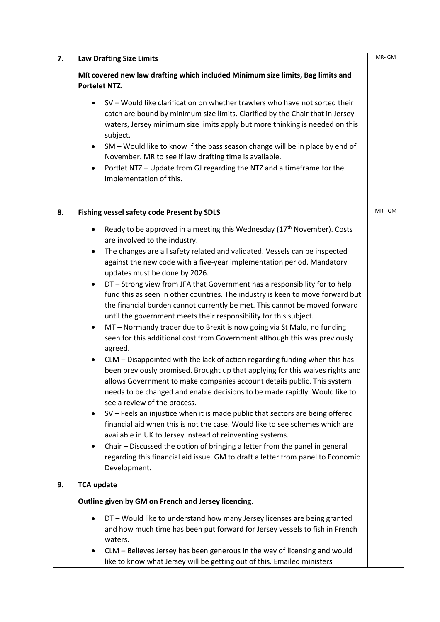| 7. | <b>Law Drafting Size Limits</b>                                                                                                                                                                                                                                                                                                                                                                                                                                                                                                                                                                                                                                                                                                                                                                                                                                                                                                                                                                                                                                                                                                                                                                                                                                                                                                                                                                                                                                                                                                                                                                                                                                         | MR-GM   |
|----|-------------------------------------------------------------------------------------------------------------------------------------------------------------------------------------------------------------------------------------------------------------------------------------------------------------------------------------------------------------------------------------------------------------------------------------------------------------------------------------------------------------------------------------------------------------------------------------------------------------------------------------------------------------------------------------------------------------------------------------------------------------------------------------------------------------------------------------------------------------------------------------------------------------------------------------------------------------------------------------------------------------------------------------------------------------------------------------------------------------------------------------------------------------------------------------------------------------------------------------------------------------------------------------------------------------------------------------------------------------------------------------------------------------------------------------------------------------------------------------------------------------------------------------------------------------------------------------------------------------------------------------------------------------------------|---------|
|    | MR covered new law drafting which included Minimum size limits, Bag limits and<br><b>Portelet NTZ.</b>                                                                                                                                                                                                                                                                                                                                                                                                                                                                                                                                                                                                                                                                                                                                                                                                                                                                                                                                                                                                                                                                                                                                                                                                                                                                                                                                                                                                                                                                                                                                                                  |         |
|    | SV - Would like clarification on whether trawlers who have not sorted their<br>catch are bound by minimum size limits. Clarified by the Chair that in Jersey<br>waters, Jersey minimum size limits apply but more thinking is needed on this<br>subject.<br>SM - Would like to know if the bass season change will be in place by end of<br>$\bullet$<br>November. MR to see if law drafting time is available.<br>Portlet NTZ - Update from GJ regarding the NTZ and a timeframe for the<br>$\bullet$<br>implementation of this.                                                                                                                                                                                                                                                                                                                                                                                                                                                                                                                                                                                                                                                                                                                                                                                                                                                                                                                                                                                                                                                                                                                                       |         |
| 8. | Fishing vessel safety code Present by SDLS                                                                                                                                                                                                                                                                                                                                                                                                                                                                                                                                                                                                                                                                                                                                                                                                                                                                                                                                                                                                                                                                                                                                                                                                                                                                                                                                                                                                                                                                                                                                                                                                                              | MR - GM |
|    | Ready to be approved in a meeting this Wednesday (17 <sup>th</sup> November). Costs<br>$\bullet$<br>are involved to the industry.<br>The changes are all safety related and validated. Vessels can be inspected<br>$\bullet$<br>against the new code with a five-year implementation period. Mandatory<br>updates must be done by 2026.<br>DT - Strong view from JFA that Government has a responsibility for to help<br>$\bullet$<br>fund this as seen in other countries. The industry is keen to move forward but<br>the financial burden cannot currently be met. This cannot be moved forward<br>until the government meets their responsibility for this subject.<br>MT - Normandy trader due to Brexit is now going via St Malo, no funding<br>$\bullet$<br>seen for this additional cost from Government although this was previously<br>agreed.<br>CLM - Disappointed with the lack of action regarding funding when this has<br>$\bullet$<br>been previously promised. Brought up that applying for this waives rights and<br>allows Government to make companies account details public. This system<br>needs to be changed and enable decisions to be made rapidly. Would like to<br>see a review of the process.<br>SV - Feels an injustice when it is made public that sectors are being offered<br>$\bullet$<br>financial aid when this is not the case. Would like to see schemes which are<br>available in UK to Jersey instead of reinventing systems.<br>Chair - Discussed the option of bringing a letter from the panel in general<br>$\bullet$<br>regarding this financial aid issue. GM to draft a letter from panel to Economic<br>Development. |         |
| 9. | <b>TCA update</b>                                                                                                                                                                                                                                                                                                                                                                                                                                                                                                                                                                                                                                                                                                                                                                                                                                                                                                                                                                                                                                                                                                                                                                                                                                                                                                                                                                                                                                                                                                                                                                                                                                                       |         |
|    | Outline given by GM on French and Jersey licencing.                                                                                                                                                                                                                                                                                                                                                                                                                                                                                                                                                                                                                                                                                                                                                                                                                                                                                                                                                                                                                                                                                                                                                                                                                                                                                                                                                                                                                                                                                                                                                                                                                     |         |
|    | DT - Would like to understand how many Jersey licenses are being granted<br>and how much time has been put forward for Jersey vessels to fish in French<br>waters.<br>CLM - Believes Jersey has been generous in the way of licensing and would<br>like to know what Jersey will be getting out of this. Emailed ministers                                                                                                                                                                                                                                                                                                                                                                                                                                                                                                                                                                                                                                                                                                                                                                                                                                                                                                                                                                                                                                                                                                                                                                                                                                                                                                                                              |         |